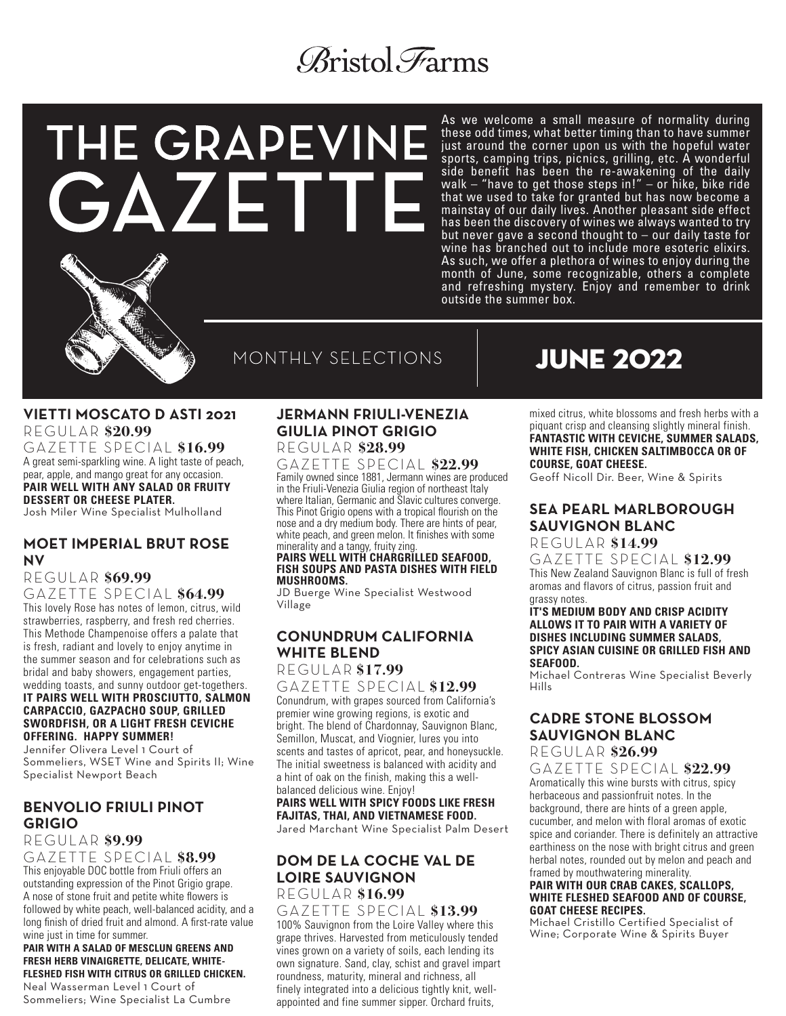# *Aristol* Farms

# THE GRAPEVINE GAZETT

MONTHLY SELECTIONS

#### **VIETTI MOSCATO D ASTI 2021**  REGULAR **\$20.99**

GAZETTE SPECIAL **\$16.99** A great semi-sparkling wine. A light taste of peach, pear, apple, and mango great for any occasion. **PAIR WELL WITH ANY SALAD OR FRUITY DESSERT OR CHEESE PLATER.** Josh Miler Wine Specialist Mulholland

#### **MOET IMPERIAL BRUT ROSE NV**

#### REGULAR **\$69.99** GAZETTE SPECIAL **\$64.99**

This lovely Rose has notes of lemon, citrus, wild strawberries, raspberry, and fresh red cherries. This Methode Champenoise offers a palate that is fresh, radiant and lovely to enjoy anytime in the summer season and for celebrations such as bridal and baby showers, engagement parties, wedding toasts, and sunny outdoor get-togethers. **IT PAIRS WELL WITH PROSCIUTTO, SALMON CARPACCIO, GAZPACHO SOUP, GRILLED SWORDFISH, OR A LIGHT FRESH CEVICHE OFFERING. HAPPY SUMMER!**

Jennifer Olivera Level 1 Court of Sommeliers, WSET Wine and Spirits II; Wine Specialist Newport Beach

# **BENVOLIO FRIULI PINOT GRIGIO**

#### REGULAR **\$9.99** GAZETTE SPECIAL **\$8.99**

This enjoyable DOC bottle from Friuli offers an outstanding expression of the Pinot Grigio grape. A nose of stone fruit and petite white flowers is followed by white peach, well-balanced acidity, and a long finish of dried fruit and almond. A first-rate value wine just in time for summer.

#### **PAIR WITH A SALAD OF MESCLUN GREENS AND FRESH HERB VINAIGRETTE, DELICATE, WHITE-FLESHED FISH WITH CITRUS OR GRILLED CHICKEN.**

Neal Wasserman Level 1 Court of Sommeliers; Wine Specialist La Cumbre

#### **JERMANN FRIULI-VENEZIA GIULIA PINOT GRIGIO**  REGULAR **\$28.99**

GAZETTE SPECIAL **\$22.99** Family owned since 1881, Jermann wines are produced in the Friuli-Venezia Giulia region of northeast Italy where Italian, Germanic and Slavic cultures converge. This Pinot Grigio opens with a tropical flourish on the nose and a dry medium body. There are hints of pear, white peach, and green melon. It finishes with some minerality and a tangy, fruity zing.

#### **PAIRS WELL WITH CHARGRILLED SEAFOOD, FISH SOUPS AND PASTA DISHES WITH FIELD MUSHROOMS.**

JD Buerge Wine Specialist Westwood Village

# **CONUNDRUM CALIFORNIA WHITE BLEND**

#### REGULAR **\$17.99** GAZETTE SPECIAL **\$12.99**

Conundrum, with grapes sourced from California's premier wine growing regions, is exotic and bright. The blend of Chardonnay, Sauvignon Blanc, Semillon, Muscat, and Viognier, lures you into scents and tastes of apricot, pear, and honeysuckle. The initial sweetness is balanced with acidity and a hint of oak on the finish, making this a wellbalanced delicious wine. Enjoy!

#### **PAIRS WELL WITH SPICY FOODS LIKE FRESH FAJITAS, THAI, AND VIETNAMESE FOOD.**

Jared Marchant Wine Specialist Palm Desert

#### **DOM DE LA COCHE VAL DE LOIRE SAUVIGNON** REGULAR **\$16.99**

GAZETTE SPECIAL **\$13.99** 100% Sauvignon from the Loire Valley where this grape thrives. Harvested from meticulously tended vines grown on a variety of soils, each lending its own signature. Sand, clay, schist and gravel impart roundness, maturity, mineral and richness, all finely integrated into a delicious tightly knit, wellappointed and fine summer sipper. Orchard fruits,

# JUNE 2022

outside the summer box.

As we welcome a small measure of normality during these odd times, what better timing than to have summer just around the corner upon us with the hopeful water sports, camping trips, picnics, grilling, etc. A wonderful side benefit has been the re-awakening of the daily walk – "have to get those steps in!" – or hike, bike ride that we used to take for granted but has now become a mainstay of our daily lives. Another pleasant side effect has been the discovery of wines we always wanted to try but never gave a second thought to – our daily taste for wine has branched out to include more esoteric elixirs. As such, we offer a plethora of wines to enjoy during the month of June, some recognizable, others a complete and refreshing mystery. Enjoy and remember to drink

> mixed citrus, white blossoms and fresh herbs with a piquant crisp and cleansing slightly mineral finish. **FANTASTIC WITH CEVICHE, SUMMER SALADS, WHITE FISH, CHICKEN SALTIMBOCCA OR OF COURSE, GOAT CHEESE.**

Geoff Nicoll Dir. Beer, Wine & Spirits

# **SEA PEARL MARLBOROUGH SAUVIGNON BLANC**

## REGULAR **\$14.99**

GAZETTE SPECIAL **\$12.99** This New Zealand Sauvignon Blanc is full of fresh aromas and flavors of citrus, passion fruit and grassy notes.

#### **IT'S MEDIUM BODY AND CRISP ACIDITY ALLOWS IT TO PAIR WITH A VARIETY OF DISHES INCLUDING SUMMER SALADS, SPICY ASIAN CUISINE OR GRILLED FISH AND SEAFOOD.**

Michael Contreras Wine Specialist Beverly Hills

#### **CADRE STONE BLOSSOM SAUVIGNON BLANC** REGULAR **\$26.99**

# GAZETTE SPECIAL **\$22.99**

Aromatically this wine bursts with citrus, spicy herbaceous and passionfruit notes. In the background, there are hints of a green apple, cucumber, and melon with floral aromas of exotic spice and coriander. There is definitely an attractive earthiness on the nose with bright citrus and green herbal notes, rounded out by melon and peach and framed by mouthwatering minerality.

#### **PAIR WITH OUR CRAB CAKES, SCALLOPS, WHITE FLESHED SEAFOOD AND OF COURSE, GOAT CHEESE RECIPES.**

Michael Cristillo Certified Specialist of Wine; Corporate Wine & Spirits Buyer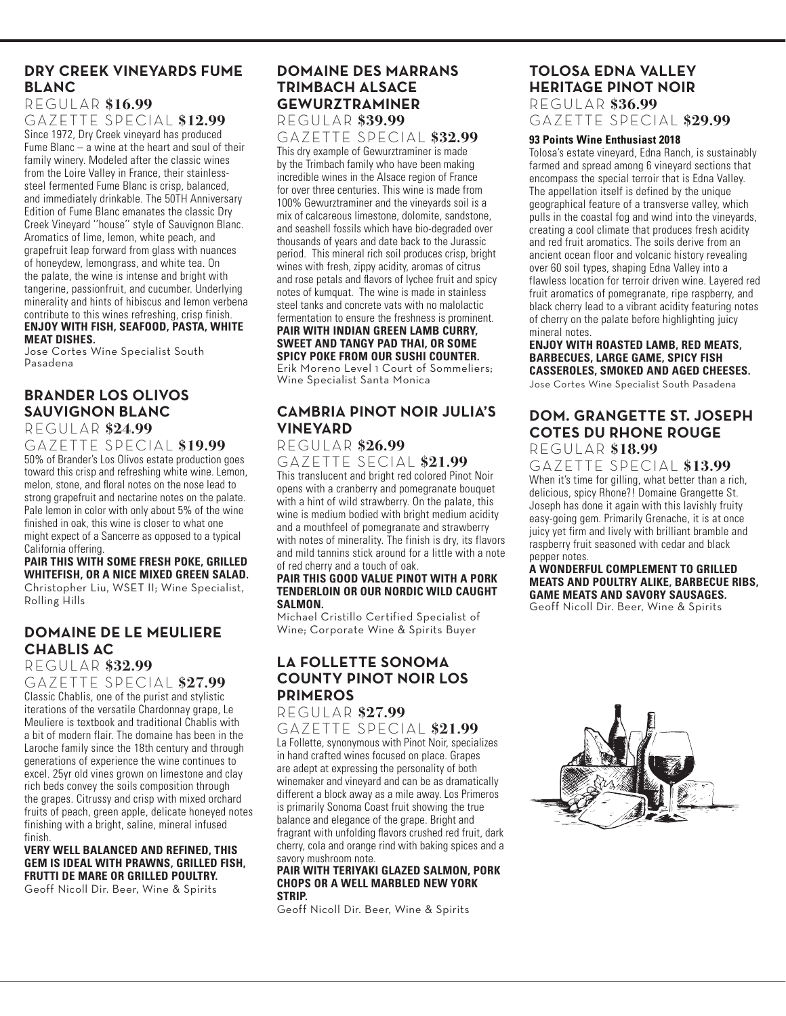# **DRY CREEK VINEYARDS FUME BLANC**

#### REGULAR **\$16.99**

GAZETTE SPECIAL **\$12.99** Since 1972, Dry Creek vineyard has produced Fume Blanc – a wine at the heart and soul of their family winery. Modeled after the classic wines from the Loire Valley in France, their stainlesssteel fermented Fume Blanc is crisp, balanced, and immediately drinkable. The 50TH Anniversary Edition of Fume Blanc emanates the classic Dry Creek Vineyard ''house'' style of Sauvignon Blanc. Aromatics of lime, lemon, white peach, and grapefruit leap forward from glass with nuances of honeydew, lemongrass, and white tea. On the palate, the wine is intense and bright with tangerine, passionfruit, and cucumber. Underlying minerality and hints of hibiscus and lemon verbena contribute to this wines refreshing, crisp finish. **ENJOY WITH FISH, SEAFOOD, PASTA, WHITE** 

#### **MEAT DISHES.**

Jose Cortes Wine Specialist South Pasadena

#### **BRANDER LOS OLIVOS SAUVIGNON BLANC**  REGULAR **\$24.99**

#### GAZETTE SPECIAL **\$19.99**

50% of Brander's Los Olivos estate production goes toward this crisp and refreshing white wine. Lemon, melon, stone, and floral notes on the nose lead to strong grapefruit and nectarine notes on the palate. Pale lemon in color with only about 5% of the wine finished in oak, this wine is closer to what one might expect of a Sancerre as opposed to a typical California offering.

#### **PAIR THIS WITH SOME FRESH POKE, GRILLED WHITEFISH, OR A NICE MIXED GREEN SALAD.** Christopher Liu, WSET II; Wine Specialist, Rolling Hills

## **DOMAINE DE LE MEULIERE CHABLIS AC**

#### REGULAR **\$32.99**

GAZETTE SPECIAL **\$27.99** Classic Chablis, one of the purist and stylistic iterations of the versatile Chardonnay grape, Le Meuliere is textbook and traditional Chablis with a bit of modern flair. The domaine has been in the Laroche family since the 18th century and through generations of experience the wine continues to excel. 25yr old vines grown on limestone and clay rich beds convey the soils composition through the grapes. Citrussy and crisp with mixed orchard fruits of peach, green apple, delicate honeyed notes finishing with a bright, saline, mineral infused finish.

#### **VERY WELL BALANCED AND REFINED, THIS GEM IS IDEAL WITH PRAWNS, GRILLED FISH, FRUTTI DE MARE OR GRILLED POULTRY.** Geoff Nicoll Dir. Beer, Wine & Spirits

#### **DOMAINE DES MARRANS TRIMBACH ALSACE GEWURZTRAMINER**  REGULAR **\$39.99**

GAZETTE SPECIAL **\$32.99**

This dry example of Gewurztraminer is made by the Trimbach family who have been making incredible wines in the Alsace region of France for over three centuries. This wine is made from 100% Gewurztraminer and the vineyards soil is a mix of calcareous limestone, dolomite, sandstone, and seashell fossils which have bio-degraded over thousands of years and date back to the Jurassic period. This mineral rich soil produces crisp, bright wines with fresh, zippy acidity, aromas of citrus and rose petals and flavors of lychee fruit and spicy notes of kumquat. The wine is made in stainless steel tanks and concrete vats with no malolactic fermentation to ensure the freshness is prominent. **PAIR WITH INDIAN GREEN LAMB CURRY,** 

#### **SWEET AND TANGY PAD THAI, OR SOME SPICY POKE FROM OUR SUSHI COUNTER.**

Erik Moreno Level 1 Court of Sommeliers; Wine Specialist Santa Monica

# **CAMBRIA PINOT NOIR JULIA'S VINEYARD**

#### REGULAR **\$26.99** GAZETTE SECIAL **\$21.99**

This translucent and bright red colored Pinot Noir opens with a cranberry and pomegranate bouquet with a hint of wild strawberry. On the palate, this wine is medium bodied with bright medium acidity and a mouthfeel of pomegranate and strawberry with notes of minerality. The finish is dry, its flavors and mild tannins stick around for a little with a note of red cherry and a touch of oak.

#### **PAIR THIS GOOD VALUE PINOT WITH A PORK TENDERLOIN OR OUR NORDIC WILD CAUGHT SALMON.**

Michael Cristillo Certified Specialist of Wine; Corporate Wine & Spirits Buyer

### **LA FOLLETTE SONOMA COUNTY PINOT NOIR LOS PRIMEROS**

# REGULAR **\$27.99**

GAZETTE SPECIAL **\$21.99** La Follette, synonymous with Pinot Noir, specializes in hand crafted wines focused on place. Grapes are adept at expressing the personality of both winemaker and vineyard and can be as dramatically different a block away as a mile away. Los Primeros is primarily Sonoma Coast fruit showing the true balance and elegance of the grape. Bright and fragrant with unfolding flavors crushed red fruit, dark cherry, cola and orange rind with baking spices and a savory mushroom note.

#### **PAIR WITH TERIYAKI GLAZED SALMON, PORK CHOPS OR A WELL MARBLED NEW YORK STRIP.**

Geoff Nicoll Dir. Beer, Wine & Spirits

# **TOLOSA EDNA VALLEY HERITAGE PINOT NOIR**

REGULAR **\$36.99** GAZETTE SPECIAL **\$29.99**

#### **93 Points Wine Enthusiast 2018**

Tolosa's estate vineyard, Edna Ranch, is sustainably farmed and spread among 6 vineyard sections that encompass the special terroir that is Edna Valley. The appellation itself is defined by the unique geographical feature of a transverse valley, which pulls in the coastal fog and wind into the vineyards, creating a cool climate that produces fresh acidity and red fruit aromatics. The soils derive from an ancient ocean floor and volcanic history revealing over 60 soil types, shaping Edna Valley into a flawless location for terroir driven wine. Layered red fruit aromatics of pomegranate, ripe raspberry, and black cherry lead to a vibrant acidity featuring notes of cherry on the palate before highlighting juicy mineral notes.

#### **ENJOY WITH ROASTED LAMB, RED MEATS, BARBECUES, LARGE GAME, SPICY FISH CASSEROLES, SMOKED AND AGED CHEESES.**

Jose Cortes Wine Specialist South Pasadena

#### **DOM. GRANGETTE ST. JOSEPH COTES DU RHONE ROUGE**  REGULAR **\$18.99**

GAZETTE SPECIAL **\$13.99** When it's time for gilling, what better than a rich, delicious, spicy Rhone?! Domaine Grangette St. Joseph has done it again with this lavishly fruity easy-going gem. Primarily Grenache, it is at once juicy yet firm and lively with brilliant bramble and raspberry fruit seasoned with cedar and black pepper notes.

**A WONDERFUL COMPLEMENT TO GRILLED MEATS AND POULTRY ALIKE, BARBECUE RIBS, GAME MEATS AND SAVORY SAUSAGES.** Geoff Nicoll Dir. Beer, Wine & Spirits

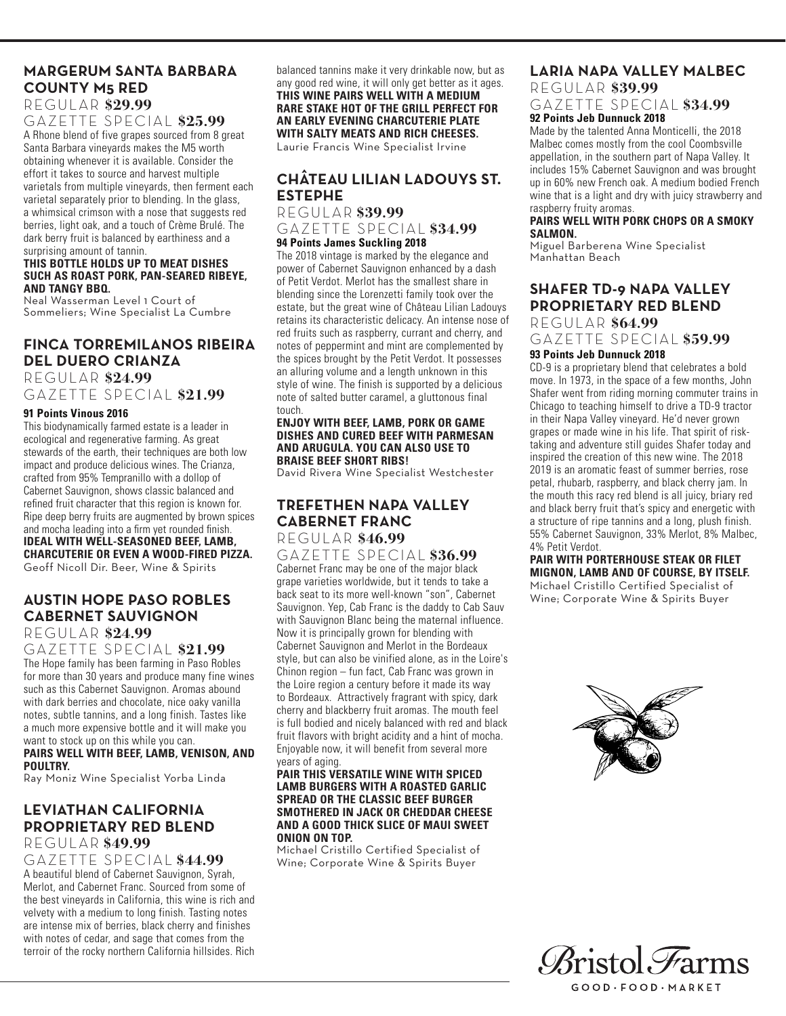# **MARGERUM SANTA BARBARA COUNTY M5 RED**

REGULAR **\$29.99**

GAZETTE SPECIAL **\$25.99** A Rhone blend of five grapes sourced from 8 great Santa Barbara vineyards makes the M5 worth obtaining whenever it is available. Consider the effort it takes to source and harvest multiple varietals from multiple vineyards, then ferment each varietal separately prior to blending. In the glass, a whimsical crimson with a nose that suggests red berries, light oak, and a touch of Crème Brulé. The dark berry fruit is balanced by earthiness and a surprising amount of tannin.

#### **THIS BOTTLE HOLDS UP TO MEAT DISHES SUCH AS ROAST PORK, PAN-SEARED RIBEYE, AND TANGY BBQ.**

Neal Wasserman Level 1 Court of Sommeliers; Wine Specialist La Cumbre

#### **FINCA TORREMILANOS RIBEIRA DEL DUERO CRIANZA**  REGULAR **\$24.99**

GAZETTE SPECIAL **\$21.99**

#### **91 Points Vinous 2016**

This biodynamically farmed estate is a leader in ecological and regenerative farming. As great stewards of the earth, their techniques are both low impact and produce delicious wines. The Crianza, crafted from 95% Tempranillo with a dollop of Cabernet Sauvignon, shows classic balanced and refined fruit character that this region is known for. Ripe deep berry fruits are augmented by brown spices and mocha leading into a firm yet rounded finish. **IDEAL WITH WELL-SEASONED BEEF, LAMB, CHARCUTERIE OR EVEN A WOOD-FIRED PIZZA.** 

Geoff Nicoll Dir. Beer, Wine & Spirits

# **AUSTIN HOPE PASO ROBLES CABERNET SAUVIGNON**

REGULAR **\$24.99**

GAZETTE SPECIAL **\$21.99** The Hope family has been farming in Paso Robles for more than 30 years and produce many fine wines such as this Cabernet Sauvignon. Aromas abound with dark berries and chocolate, nice oaky vanilla notes, subtle tannins, and a long finish. Tastes like a much more expensive bottle and it will make you want to stock up on this while you can.

**PAIRS WELL WITH BEEF, LAMB, VENISON, AND POULTRY.**

Ray Moniz Wine Specialist Yorba Linda

#### **LEVIATHAN CALIFORNIA PROPRIETARY RED BLEND**  REGULAR **\$49.99**

GAZETTE SPECIAL **\$44.99**

A beautiful blend of Cabernet Sauvignon, Syrah, Merlot, and Cabernet Franc. Sourced from some of the best vineyards in California, this wine is rich and velvety with a medium to long finish. Tasting notes are intense mix of berries, black cherry and finishes with notes of cedar, and sage that comes from the terroir of the rocky northern California hillsides. Rich

balanced tannins make it very drinkable now, but as any good red wine, it will only get better as it ages. **THIS WINE PAIRS WELL WITH A MEDIUM RARE STAKE HOT OF THE GRILL PERFECT FOR AN EARLY EVENING CHARCUTERIE PLATE WITH SALTY MEATS AND RICH CHEESES.**

Laurie Francis Wine Specialist Irvine

# **CHÂTEAU LILIAN LADOUYS ST. ESTEPHE**

REGULAR **\$39.99** GAZETTE SPECIAL **\$34.99 94 Points James Suckling 2018**

The 2018 vintage is marked by the elegance and power of Cabernet Sauvignon enhanced by a dash of Petit Verdot. Merlot has the smallest share in blending since the Lorenzetti family took over the estate, but the great wine of Château Lilian Ladouys retains its characteristic delicacy. An intense nose of red fruits such as raspberry, currant and cherry, and notes of peppermint and mint are complemented by the spices brought by the Petit Verdot. It possesses an alluring volume and a length unknown in this style of wine. The finish is supported by a delicious note of salted butter caramel, a gluttonous final touch.

#### **ENJOY WITH BEEF, LAMB, PORK OR GAME DISHES AND CURED BEEF WITH PARMESAN AND ARUGULA. YOU CAN ALSO USE TO BRAISE BEEF SHORT RIBS!**

David Rivera Wine Specialist Westchester

#### **TREFETHEN NAPA VALLEY CABERNET FRANC** REGULAR **\$46.99**

GAZETTE SPECIAL **\$36.99**

Cabernet Franc may be one of the major black grape varieties worldwide, but it tends to take a back seat to its more well-known "son", Cabernet Sauvignon. Yep, Cab Franc is the daddy to Cab Sauv with Sauvignon Blanc being the maternal influence. Now it is principally grown for blending with Cabernet Sauvignon and Merlot in the Bordeaux style, but can also be vinified alone, as in the Loire's Chinon region – fun fact, Cab Franc was grown in the Loire region a century before it made its way to Bordeaux. Attractively fragrant with spicy, dark cherry and blackberry fruit aromas. The mouth feel is full bodied and nicely balanced with red and black fruit flavors with bright acidity and a hint of mocha. Enjoyable now, it will benefit from several more years of aging.

#### **PAIR THIS VERSATILE WINE WITH SPICED LAMB BURGERS WITH A ROASTED GARLIC SPREAD OR THE CLASSIC BEEF BURGER SMOTHERED IN JACK OR CHEDDAR CHEESE AND A GOOD THICK SLICE OF MAUI SWEET ONION ON TOP.**

Michael Cristillo Certified Specialist of Wine; Corporate Wine & Spirits Buyer

#### **LARIA NAPA VALLEY MALBEC**  REGULAR **\$39.99**

GAZETTE SPECIAL **\$34.99 92 Points Jeb Dunnuck 2018**

Made by the talented Anna Monticelli, the 2018 Malbec comes mostly from the cool Coombsville appellation, in the southern part of Napa Valley. It includes 15% Cabernet Sauvignon and was brought up in 60% new French oak. A medium bodied French wine that is a light and dry with juicy strawberry and raspberry fruity aromas.

#### **PAIRS WELL WITH PORK CHOPS OR A SMOKY SALMON.**

Miguel Barberena Wine Specialist Manhattan Beach

#### **SHAFER TD-9 NAPA VALLEY PROPRIETARY RED BLEND**

REGULAR **\$64.99**

GAZETTE SPECIAL **\$59.99**

#### **93 Points Jeb Dunnuck 2018**

CD-9 is a proprietary blend that celebrates a bold move. In 1973, in the space of a few months, John Shafer went from riding morning commuter trains in Chicago to teaching himself to drive a TD-9 tractor in their Napa Valley vineyard. He'd never grown grapes or made wine in his life. That spirit of risktaking and adventure still guides Shafer today and inspired the creation of this new wine. The 2018 2019 is an aromatic feast of summer berries, rose petal, rhubarb, raspberry, and black cherry jam. In the mouth this racy red blend is all juicy, briary red and black berry fruit that's spicy and energetic with a structure of ripe tannins and a long, plush finish. 55% Cabernet Sauvignon, 33% Merlot, 8% Malbec, 4% Petit Verdot.

#### **PAIR WITH PORTERHOUSE STEAK OR FILET MIGNON, LAMB AND OF COURSE, BY ITSELF.**

Michael Cristillo Certified Specialist of Wine; Corporate Wine & Spirits Buyer